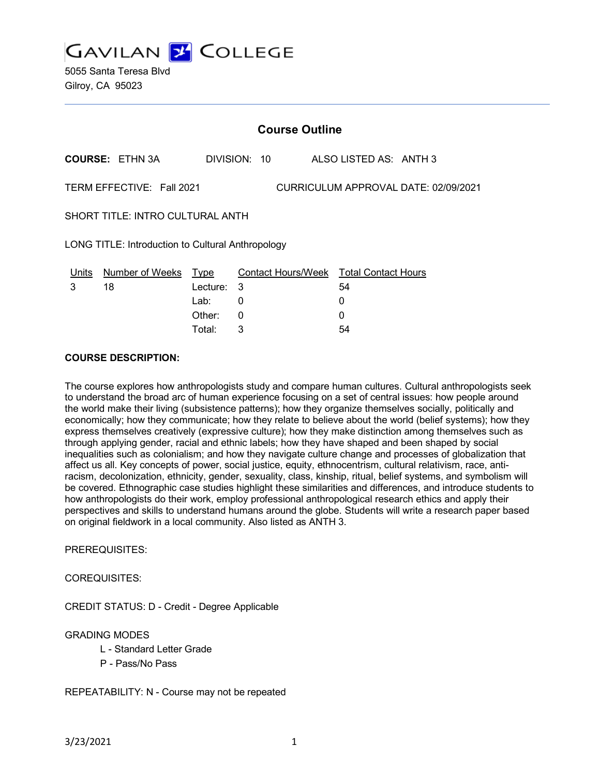**GAVILAN Y COLLEGE** 

5055 Santa Teresa Blvd Gilroy, CA 95023

|                                                                   | <b>Course Outline</b>      |              |                                        |  |    |  |  |
|-------------------------------------------------------------------|----------------------------|--------------|----------------------------------------|--|----|--|--|
| <b>COURSE: ETHN 3A</b>                                            |                            | DIVISION: 10 | ALSO LISTED AS: ANTH 3                 |  |    |  |  |
| TERM EFFECTIVE: Fall 2021<br>CURRICULUM APPROVAL DATE: 02/09/2021 |                            |              |                                        |  |    |  |  |
| SHORT TITLE: INTRO CULTURAL ANTH                                  |                            |              |                                        |  |    |  |  |
| LONG TITLE: Introduction to Cultural Anthropology                 |                            |              |                                        |  |    |  |  |
|                                                                   | Units Number of Weeks Type |              | Contact Hours/Week Total Contact Hours |  |    |  |  |
| 3                                                                 | 18                         | Lecture: 3   |                                        |  | 54 |  |  |
|                                                                   |                            | Lab:         | 0                                      |  | 0  |  |  |
|                                                                   |                            | Other:       | $\Omega$                               |  | 0  |  |  |
|                                                                   |                            | Total:       | 3                                      |  | 54 |  |  |

#### **COURSE DESCRIPTION:**

The course explores how anthropologists study and compare human cultures. Cultural anthropologists seek to understand the broad arc of human experience focusing on a set of central issues: how people around the world make their living (subsistence patterns); how they organize themselves socially, politically and economically; how they communicate; how they relate to believe about the world (belief systems); how they express themselves creatively (expressive culture); how they make distinction among themselves such as through applying gender, racial and ethnic labels; how they have shaped and been shaped by social inequalities such as colonialism; and how they navigate culture change and processes of globalization that affect us all. Key concepts of power, social justice, equity, ethnocentrism, cultural relativism, race, antiracism, decolonization, ethnicity, gender, sexuality, class, kinship, ritual, belief systems, and symbolism will be covered. Ethnographic case studies highlight these similarities and differences, and introduce students to how anthropologists do their work, employ professional anthropological research ethics and apply their perspectives and skills to understand humans around the globe. Students will write a research paper based on original fieldwork in a local community. Also listed as ANTH 3.

PREREQUISITES:

COREQUISITES:

CREDIT STATUS: D - Credit - Degree Applicable

#### GRADING MODES

- L Standard Letter Grade
- P Pass/No Pass

REPEATABILITY: N - Course may not be repeated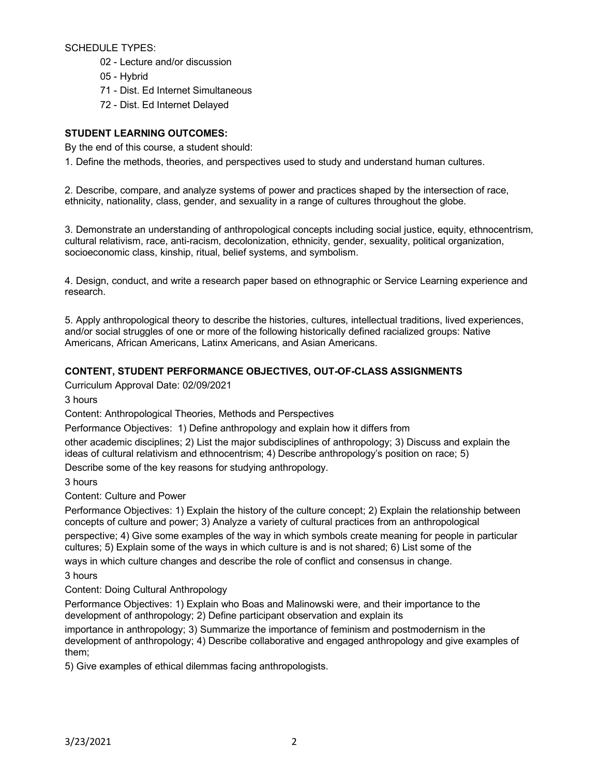SCHEDULE TYPES:

- 02 Lecture and/or discussion
- 05 Hybrid
- 71 Dist. Ed Internet Simultaneous
- 72 Dist. Ed Internet Delayed

# **STUDENT LEARNING OUTCOMES:**

By the end of this course, a student should:

1. Define the methods, theories, and perspectives used to study and understand human cultures.

2. Describe, compare, and analyze systems of power and practices shaped by the intersection of race, ethnicity, nationality, class, gender, and sexuality in a range of cultures throughout the globe.

3. Demonstrate an understanding of anthropological concepts including social justice, equity, ethnocentrism, cultural relativism, race, anti-racism, decolonization, ethnicity, gender, sexuality, political organization, socioeconomic class, kinship, ritual, belief systems, and symbolism.

4. Design, conduct, and write a research paper based on ethnographic or Service Learning experience and research.

5. Apply anthropological theory to describe the histories, cultures, intellectual traditions, lived experiences, and/or social struggles of one or more of the following historically defined racialized groups: Native Americans, African Americans, Latinx Americans, and Asian Americans.

### **CONTENT, STUDENT PERFORMANCE OBJECTIVES, OUT-OF-CLASS ASSIGNMENTS**

Curriculum Approval Date: 02/09/2021

3 hours

Content: Anthropological Theories, Methods and Perspectives

Performance Objectives: 1) Define anthropology and explain how it differs from

other academic disciplines; 2) List the major subdisciplines of anthropology; 3) Discuss and explain the ideas of cultural relativism and ethnocentrism; 4) Describe anthropology's position on race; 5)

Describe some of the key reasons for studying anthropology.

#### 3 hours

Content: Culture and Power

Performance Objectives: 1) Explain the history of the culture concept; 2) Explain the relationship between concepts of culture and power; 3) Analyze a variety of cultural practices from an anthropological

perspective; 4) Give some examples of the way in which symbols create meaning for people in particular cultures; 5) Explain some of the ways in which culture is and is not shared; 6) List some of the

ways in which culture changes and describe the role of conflict and consensus in change.

3 hours

Content: Doing Cultural Anthropology

Performance Objectives: 1) Explain who Boas and Malinowski were, and their importance to the development of anthropology; 2) Define participant observation and explain its

importance in anthropology; 3) Summarize the importance of feminism and postmodernism in the development of anthropology; 4) Describe collaborative and engaged anthropology and give examples of them;

5) Give examples of ethical dilemmas facing anthropologists.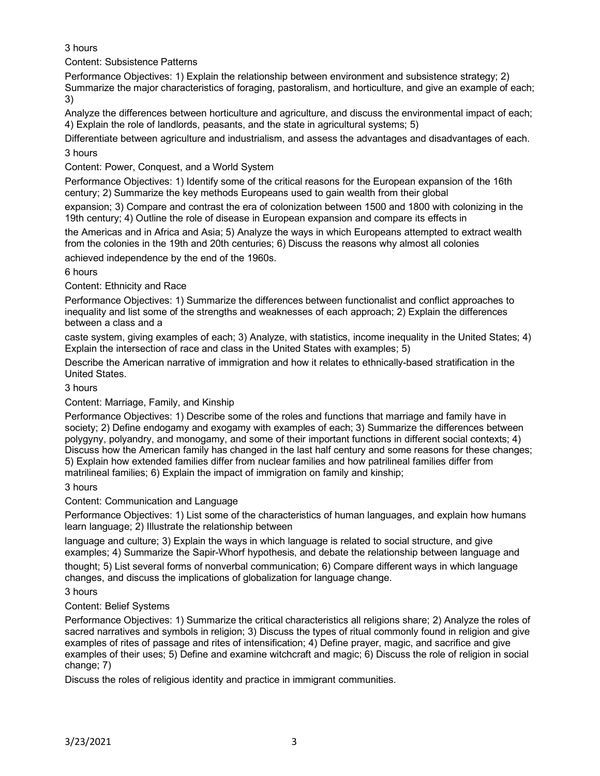# 3 hours

Content: Subsistence Patterns

Performance Objectives: 1) Explain the relationship between environment and subsistence strategy; 2) Summarize the major characteristics of foraging, pastoralism, and horticulture, and give an example of each; 3)

Analyze the differences between horticulture and agriculture, and discuss the environmental impact of each; 4) Explain the role of landlords, peasants, and the state in agricultural systems; 5)

Differentiate between agriculture and industrialism, and assess the advantages and disadvantages of each.

3 hours

Content: Power, Conquest, and a World System

Performance Objectives: 1) Identify some of the critical reasons for the European expansion of the 16th century; 2) Summarize the key methods Europeans used to gain wealth from their global

expansion; 3) Compare and contrast the era of colonization between 1500 and 1800 with colonizing in the 19th century; 4) Outline the role of disease in European expansion and compare its effects in

the Americas and in Africa and Asia; 5) Analyze the ways in which Europeans attempted to extract wealth from the colonies in the 19th and 20th centuries; 6) Discuss the reasons why almost all colonies

achieved independence by the end of the 1960s.

6 hours

Content: Ethnicity and Race

Performance Objectives: 1) Summarize the differences between functionalist and conflict approaches to inequality and list some of the strengths and weaknesses of each approach; 2) Explain the differences between a class and a

caste system, giving examples of each; 3) Analyze, with statistics, income inequality in the United States; 4) Explain the intersection of race and class in the United States with examples; 5)

Describe the American narrative of immigration and how it relates to ethnically-based stratification in the United States.

# 3 hours

# Content: Marriage, Family, and Kinship

Performance Objectives: 1) Describe some of the roles and functions that marriage and family have in society; 2) Define endogamy and exogamy with examples of each; 3) Summarize the differences between polygyny, polyandry, and monogamy, and some of their important functions in different social contexts; 4) Discuss how the American family has changed in the last half century and some reasons for these changes; 5) Explain how extended families differ from nuclear families and how patrilineal families differ from matrilineal families; 6) Explain the impact of immigration on family and kinship;

# 3 hours

Content: Communication and Language

Performance Objectives: 1) List some of the characteristics of human languages, and explain how humans learn language; 2) Illustrate the relationship between

language and culture; 3) Explain the ways in which language is related to social structure, and give examples; 4) Summarize the Sapir-Whorf hypothesis, and debate the relationship between language and thought; 5) List several forms of nonverbal communication; 6) Compare different ways in which language changes, and discuss the implications of globalization for language change.

3 hours

# Content: Belief Systems

Performance Objectives: 1) Summarize the critical characteristics all religions share; 2) Analyze the roles of sacred narratives and symbols in religion; 3) Discuss the types of ritual commonly found in religion and give examples of rites of passage and rites of intensification; 4) Define prayer, magic, and sacrifice and give examples of their uses; 5) Define and examine witchcraft and magic; 6) Discuss the role of religion in social change; 7)

Discuss the roles of religious identity and practice in immigrant communities.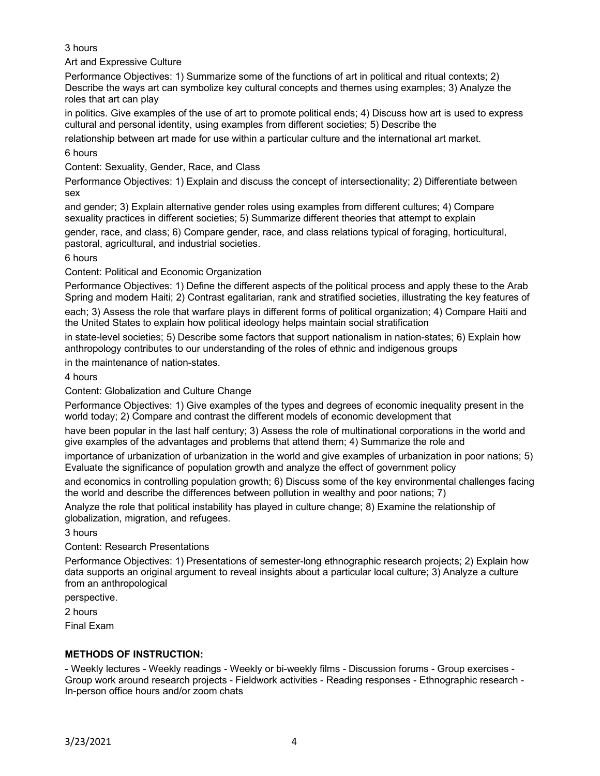### 3 hours

Art and Expressive Culture

Performance Objectives: 1) Summarize some of the functions of art in political and ritual contexts; 2) Describe the ways art can symbolize key cultural concepts and themes using examples; 3) Analyze the roles that art can play

in politics. Give examples of the use of art to promote political ends; 4) Discuss how art is used to express cultural and personal identity, using examples from different societies; 5) Describe the

relationship between art made for use within a particular culture and the international art market.

6 hours

Content: Sexuality, Gender, Race, and Class

Performance Objectives: 1) Explain and discuss the concept of intersectionality; 2) Differentiate between sex

and gender; 3) Explain alternative gender roles using examples from different cultures; 4) Compare sexuality practices in different societies; 5) Summarize different theories that attempt to explain

gender, race, and class; 6) Compare gender, race, and class relations typical of foraging, horticultural, pastoral, agricultural, and industrial societies.

6 hours

Content: Political and Economic Organization

Performance Objectives: 1) Define the different aspects of the political process and apply these to the Arab Spring and modern Haiti; 2) Contrast egalitarian, rank and stratified societies, illustrating the key features of

each; 3) Assess the role that warfare plays in different forms of political organization; 4) Compare Haiti and the United States to explain how political ideology helps maintain social stratification

in state-level societies; 5) Describe some factors that support nationalism in nation-states; 6) Explain how anthropology contributes to our understanding of the roles of ethnic and indigenous groups

in the maintenance of nation-states.

4 hours

Content: Globalization and Culture Change

Performance Objectives: 1) Give examples of the types and degrees of economic inequality present in the world today; 2) Compare and contrast the different models of economic development that

have been popular in the last half century; 3) Assess the role of multinational corporations in the world and give examples of the advantages and problems that attend them; 4) Summarize the role and

importance of urbanization of urbanization in the world and give examples of urbanization in poor nations; 5) Evaluate the significance of population growth and analyze the effect of government policy

and economics in controlling population growth; 6) Discuss some of the key environmental challenges facing the world and describe the differences between pollution in wealthy and poor nations; 7)

Analyze the role that political instability has played in culture change; 8) Examine the relationship of globalization, migration, and refugees.

3 hours

#### Content: Research Presentations

Performance Objectives: 1) Presentations of semester-long ethnographic research projects; 2) Explain how data supports an original argument to reveal insights about a particular local culture; 3) Analyze a culture from an anthropological

perspective.

2 hours

Final Exam

# **METHODS OF INSTRUCTION:**

- Weekly lectures - Weekly readings - Weekly or bi-weekly films - Discussion forums - Group exercises - Group work around research projects - Fieldwork activities - Reading responses - Ethnographic research - In-person office hours and/or zoom chats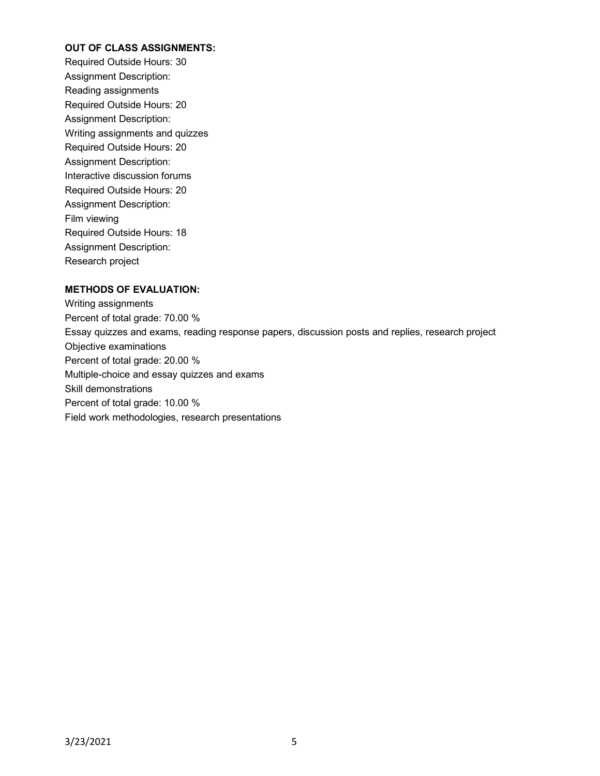#### **OUT OF CLASS ASSIGNMENTS:**

Required Outside Hours: 30 Assignment Description: Reading assignments Required Outside Hours: 20 Assignment Description: Writing assignments and quizzes Required Outside Hours: 20 Assignment Description: Interactive discussion forums Required Outside Hours: 20 Assignment Description: Film viewing Required Outside Hours: 18 Assignment Description: Research project

### **METHODS OF EVALUATION:**

Writing assignments Percent of total grade: 70.00 % Essay quizzes and exams, reading response papers, discussion posts and replies, research project Objective examinations Percent of total grade: 20.00 % Multiple-choice and essay quizzes and exams Skill demonstrations Percent of total grade: 10.00 % Field work methodologies, research presentations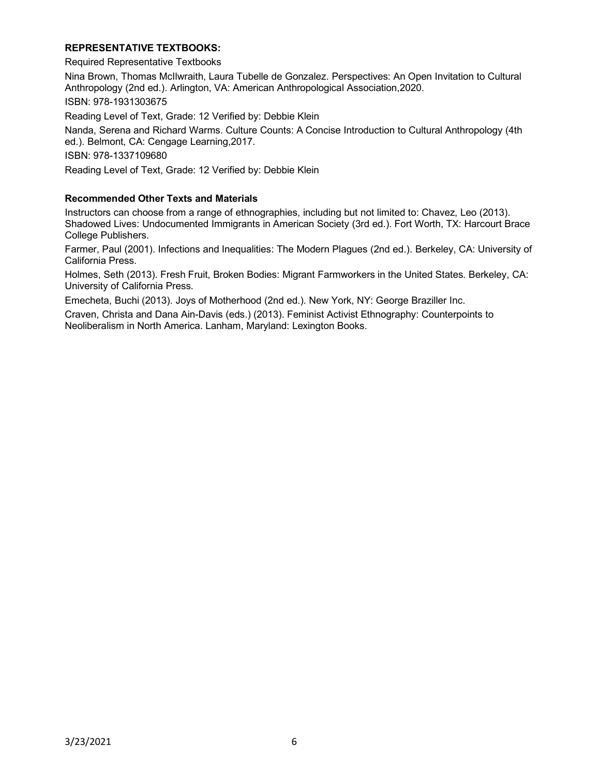#### **REPRESENTATIVE TEXTBOOKS:**

Required Representative Textbooks

Nina Brown, Thomas McIlwraith, Laura Tubelle de Gonzalez. Perspectives: An Open Invitation to Cultural Anthropology (2nd ed.). Arlington, VA: American Anthropological Association,2020. ISBN: 978-1931303675

Reading Level of Text, Grade: 12 Verified by: Debbie Klein

Nanda, Serena and Richard Warms. Culture Counts: A Concise Introduction to Cultural Anthropology (4th ed.). Belmont, CA: Cengage Learning,2017.

ISBN: 978-1337109680

Reading Level of Text, Grade: 12 Verified by: Debbie Klein

#### **Recommended Other Texts and Materials**

Instructors can choose from a range of ethnographies, including but not limited to: Chavez, Leo (2013). Shadowed Lives: Undocumented Immigrants in American Society (3rd ed.). Fort Worth, TX: Harcourt Brace College Publishers.

Farmer, Paul (2001). Infections and Inequalities: The Modern Plagues (2nd ed.). Berkeley, CA: University of California Press.

Holmes, Seth (2013). Fresh Fruit, Broken Bodies: Migrant Farmworkers in the United States. Berkeley, CA: University of California Press.

Emecheta, Buchi (2013). Joys of Motherhood (2nd ed.). New York, NY: George Braziller Inc.

Craven, Christa and Dana Ain-Davis (eds.) (2013). Feminist Activist Ethnography: Counterpoints to Neoliberalism in North America. Lanham, Maryland: Lexington Books.